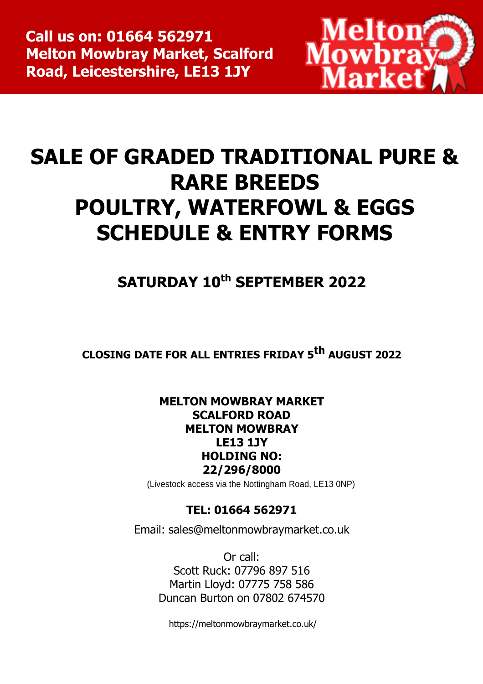

# **SALE OF GRADED TRADITIONAL PURE & RARE BREEDS POULTRY, WATERFOWL & EGGS SCHEDULE & ENTRY FORMS**

**SATURDAY 10th SEPTEMBER 2022**

**CLOSING DATE FOR ALL ENTRIES FRIDAY 5 th AUGUST 2022**

# **MELTON MOWBRAY MARKET SCALFORD ROAD MELTON MOWBRAY LE13 1JY HOLDING NO: 22/296/8000**

(Livestock access via the Nottingham Road, LE13 0NP)

# **TEL: 01664 562971**

Email: [sales@meltonmowbraymarket.co.uk](mailto:sales@meltonmowbraymarket.co.uk)

Or call: Scott Ruck: 07796 897 516 Martin Lloyd: 07775 758 586 Duncan Burton on 07802 674570

https://meltonmowbraymarket.co.uk/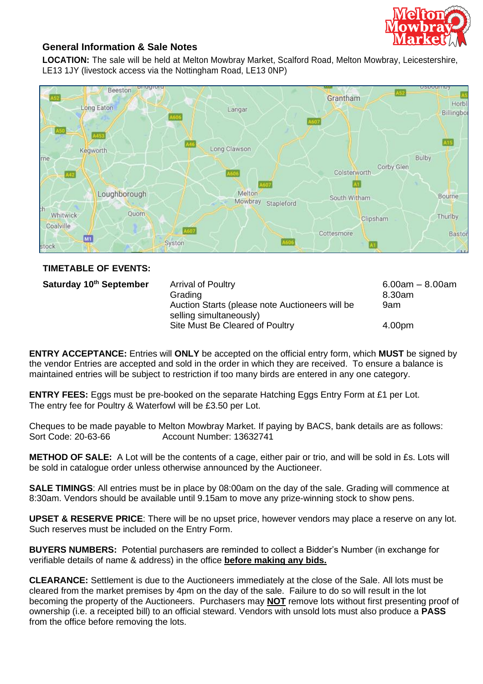

### **General Information & Sale Notes**

**LOCATION:** The sale will be held at Melton Mowbray Market, Scalford Road, Melton Mowbray, Leicestershire, LE13 1JY (livestock access via the Nottingham Road, LE13 0NP)



#### **TIMETABLE OF EVENTS:**

**Saturday 10**

**th September** Arrival of Poultry 6.00am – 8.00am Grading 8.30am Auction Starts (please note Auctioneers will be selling simultaneously) 9am Site Must Be Cleared of Poultry **4.00pm** 

**ENTRY ACCEPTANCE:** Entries will **ONLY** be accepted on the official entry form, which **MUST** be signed by the vendor Entries are accepted and sold in the order in which they are received. To ensure a balance is maintained entries will be subject to restriction if too many birds are entered in any one category.

**ENTRY FEES:** Eggs must be pre-booked on the separate Hatching Eggs Entry Form at £1 per Lot. The entry fee for Poultry & Waterfowl will be £3.50 per Lot.

Cheques to be made payable to Melton Mowbray Market. If paying by BACS, bank details are as follows: Sort Code: 20-63-66 Account Number: 13632741

**METHOD OF SALE:** A Lot will be the contents of a cage, either pair or trio, and will be sold in £s. Lots will be sold in catalogue order unless otherwise announced by the Auctioneer.

**SALE TIMINGS**: All entries must be in place by 08:00am on the day of the sale. Grading will commence at 8:30am. Vendors should be available until 9.15am to move any prize-winning stock to show pens.

**UPSET & RESERVE PRICE**: There will be no upset price, however vendors may place a reserve on any lot. Such reserves must be included on the Entry Form.

**BUYERS NUMBERS:** Potential purchasers are reminded to collect a Bidder's Number (in exchange for verifiable details of name & address) in the office **before making any bids.**

**CLEARANCE:** Settlement is due to the Auctioneers immediately at the close of the Sale. All lots must be cleared from the market premises by 4pm on the day of the sale. Failure to do so will result in the lot becoming the property of the Auctioneers. Purchasers may **NOT** remove lots without first presenting proof of ownership (i.e. a receipted bill) to an official steward. Vendors with unsold lots must also produce a **PASS** from the office before removing the lots.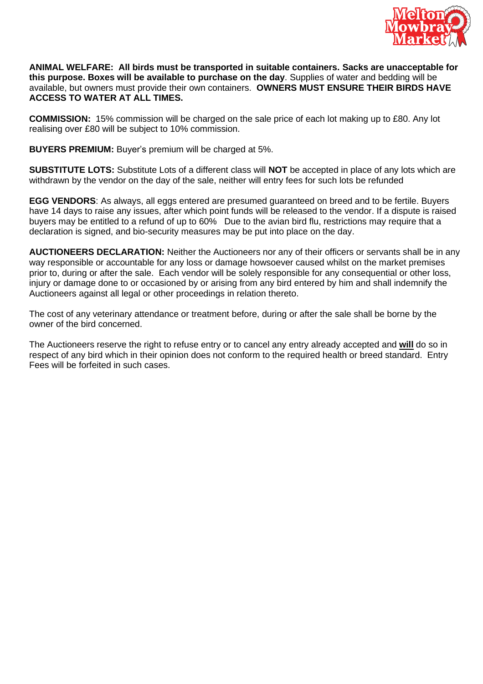

**ANIMAL WELFARE: All birds must be transported in suitable containers. Sacks are unacceptable for this purpose. Boxes will be available to purchase on the day**. Supplies of water and bedding will be available, but owners must provide their own containers. **OWNERS MUST ENSURE THEIR BIRDS HAVE ACCESS TO WATER AT ALL TIMES.**

**COMMISSION:** 15% commission will be charged on the sale price of each lot making up to £80. Any lot realising over £80 will be subject to 10% commission.

**BUYERS PREMIUM:** Buyer's premium will be charged at 5%.

**SUBSTITUTE LOTS:** Substitute Lots of a different class will **NOT** be accepted in place of any lots which are withdrawn by the vendor on the day of the sale, neither will entry fees for such lots be refunded

**EGG VENDORS**: As always, all eggs entered are presumed guaranteed on breed and to be fertile. Buyers have 14 days to raise any issues, after which point funds will be released to the vendor. If a dispute is raised buyers may be entitled to a refund of up to 60% Due to the avian bird flu, restrictions may require that a declaration is signed, and bio-security measures may be put into place on the day.

**AUCTIONEERS DECLARATION:** Neither the Auctioneers nor any of their officers or servants shall be in any way responsible or accountable for any loss or damage howsoever caused whilst on the market premises prior to, during or after the sale. Each vendor will be solely responsible for any consequential or other loss, injury or damage done to or occasioned by or arising from any bird entered by him and shall indemnify the Auctioneers against all legal or other proceedings in relation thereto.

The cost of any veterinary attendance or treatment before, during or after the sale shall be borne by the owner of the bird concerned.

The Auctioneers reserve the right to refuse entry or to cancel any entry already accepted and **will** do so in respect of any bird which in their opinion does not conform to the required health or breed standard. Entry Fees will be forfeited in such cases.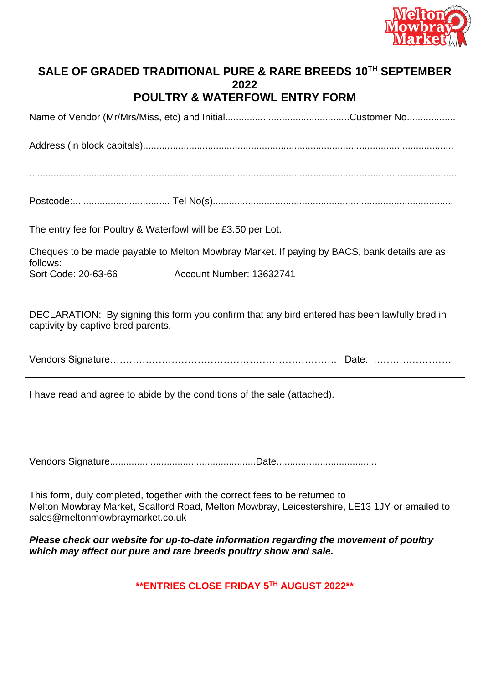

## **SALE OF GRADED TRADITIONAL PURE & RARE BREEDS 10 TH SEPTEMBER 2022 POULTRY & WATERFOWL ENTRY FORM**

Name of Vendor (Mr/Mrs/Miss, etc) and Initial..............................................Customer No..................

Address (in block capitals)...................................................................................................................

..............................................................................................................................................................

Postcode:.................................... Tel No(s).........................................................................................

The entry fee for Poultry & Waterfowl will be £3.50 per Lot.

Cheques to be made payable to Melton Mowbray Market. If paying by BACS, bank details are as follows: Sort Code: 20-63-66 Account Number: 13632741

DECLARATION: By signing this form you confirm that any bird entered has been lawfully bred in captivity by captive bred parents.

Vendors Signature……………………………………………………………. Date: ……………………

I have read and agree to abide by the conditions of the sale (attached).

Vendors Signature......................................................Date.....................................

This form, duly completed, together with the correct fees to be returned to Melton Mowbray Market, Scalford Road, Melton Mowbray, Leicestershire, LE13 1JY or emailed to sales@meltonmowbraymarket.co.uk

*Please check our website for up-to-date information regarding the movement of poultry which may affect our pure and rare breeds poultry show and sale.* 

**\*\*ENTRIES CLOSE FRIDAY 5 TH AUGUST 2022\*\***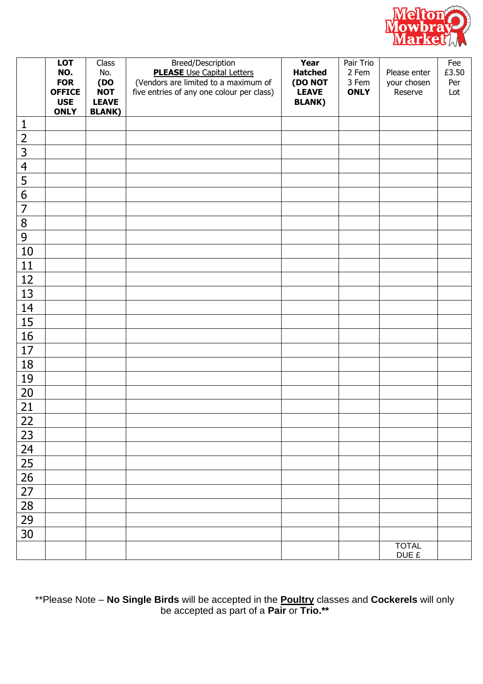

|                 | <b>LOT</b>                  | Class                | Breed/Description                                                                 | Year                    | Pair Trio            |                        | Fee        |
|-----------------|-----------------------------|----------------------|-----------------------------------------------------------------------------------|-------------------------|----------------------|------------------------|------------|
|                 | NO.                         | No.                  | <b>PLEASE</b> Use Capital Letters                                                 | <b>Hatched</b>          | 2 Fem                | Please enter           | £3.50      |
|                 | <b>FOR</b><br><b>OFFICE</b> | $($ DO<br><b>NOT</b> | (Vendors are limited to a maximum of<br>five entries of any one colour per class) | (DO NOT<br><b>LEAVE</b> | 3 Fem<br><b>ONLY</b> | your chosen<br>Reserve | Per<br>Lot |
|                 | <b>USE</b>                  | <b>LEAVE</b>         |                                                                                   | <b>BLANK)</b>           |                      |                        |            |
|                 | <b>ONLY</b>                 | <b>BLANK)</b>        |                                                                                   |                         |                      |                        |            |
| $\mathbf{1}$    |                             |                      |                                                                                   |                         |                      |                        |            |
| $\overline{2}$  |                             |                      |                                                                                   |                         |                      |                        |            |
| $\overline{3}$  |                             |                      |                                                                                   |                         |                      |                        |            |
| $\overline{4}$  |                             |                      |                                                                                   |                         |                      |                        |            |
| 5               |                             |                      |                                                                                   |                         |                      |                        |            |
| $\overline{6}$  |                             |                      |                                                                                   |                         |                      |                        |            |
| $\overline{7}$  |                             |                      |                                                                                   |                         |                      |                        |            |
| 8               |                             |                      |                                                                                   |                         |                      |                        |            |
| $\overline{9}$  |                             |                      |                                                                                   |                         |                      |                        |            |
| 10              |                             |                      |                                                                                   |                         |                      |                        |            |
| 11              |                             |                      |                                                                                   |                         |                      |                        |            |
| 12              |                             |                      |                                                                                   |                         |                      |                        |            |
| 13              |                             |                      |                                                                                   |                         |                      |                        |            |
| 14              |                             |                      |                                                                                   |                         |                      |                        |            |
| 15              |                             |                      |                                                                                   |                         |                      |                        |            |
| 16              |                             |                      |                                                                                   |                         |                      |                        |            |
| 17              |                             |                      |                                                                                   |                         |                      |                        |            |
| 18              |                             |                      |                                                                                   |                         |                      |                        |            |
| 19              |                             |                      |                                                                                   |                         |                      |                        |            |
| 20              |                             |                      |                                                                                   |                         |                      |                        |            |
| 21              |                             |                      |                                                                                   |                         |                      |                        |            |
| <u>22</u>       |                             |                      |                                                                                   |                         |                      |                        |            |
| 23              |                             |                      |                                                                                   |                         |                      |                        |            |
| 24              |                             |                      |                                                                                   |                         |                      |                        |            |
| $\overline{25}$ |                             |                      |                                                                                   |                         |                      |                        |            |
| $\overline{26}$ |                             |                      |                                                                                   |                         |                      |                        |            |
| $\overline{27}$ |                             |                      |                                                                                   |                         |                      |                        |            |
| 28              |                             |                      |                                                                                   |                         |                      |                        |            |
| 29              |                             |                      |                                                                                   |                         |                      |                        |            |
| 30              |                             |                      |                                                                                   |                         |                      |                        |            |
|                 |                             |                      |                                                                                   |                         |                      | <b>TOTAL</b>           |            |
|                 |                             |                      |                                                                                   |                         |                      | DUE £                  |            |

\*\*Please Note – **No Single Birds** will be accepted in the **Poultry** classes and **Cockerels** will only be accepted as part of a **Pair** or **Trio.\*\***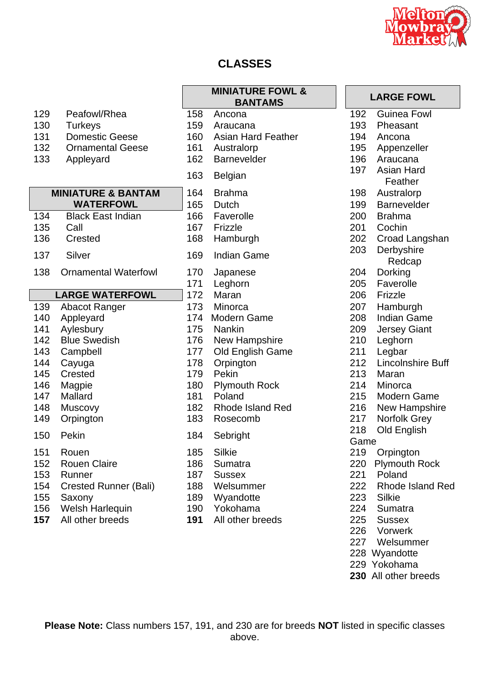

# **CLASSES**

| 129 | Peafowl/Rhea                  | 158 | Ancona                  | 192  | <b>Guinea Fowl</b>      |
|-----|-------------------------------|-----|-------------------------|------|-------------------------|
| 130 | <b>Turkeys</b>                | 159 | Araucana                | 193  | Pheasant                |
| 131 | <b>Domestic Geese</b>         | 160 | Asian Hard Feather      | 194  | Ancona                  |
| 132 | <b>Ornamental Geese</b>       | 161 | Australorp              | 195  | Appenzeller             |
| 133 | Appleyard                     | 162 | <b>Barnevelder</b>      | 196  | Araucana                |
|     |                               | 163 |                         | 197  | Asian Hard              |
|     |                               |     | <b>Belgian</b>          |      | Feather                 |
|     | <b>MINIATURE &amp; BANTAM</b> | 164 | <b>Brahma</b>           | 198  | Australorp              |
|     | <b>WATERFOWL</b>              | 165 | <b>Dutch</b>            | 199  | <b>Barnevelder</b>      |
| 134 | <b>Black East Indian</b>      | 166 | Faverolle               | 200  | <b>Brahma</b>           |
| 135 | Call                          | 167 | Frizzle                 | 201  | Cochin                  |
| 136 | Crested                       | 168 | Hamburgh                | 202  | Croad Langshan          |
| 137 | Silver                        | 169 | <b>Indian Game</b>      | 203  | Derbyshire              |
|     |                               |     |                         |      | Redcap                  |
| 138 | <b>Ornamental Waterfowl</b>   | 170 | Japanese                | 204  | Dorking                 |
|     |                               | 171 | Leghorn                 | 205  | Faverolle               |
|     | <b>LARGE WATERFOWL</b>        | 172 | Maran                   | 206  | Frizzle                 |
| 139 | <b>Abacot Ranger</b>          | 173 | Minorca                 | 207  | Hamburgh                |
| 140 | Appleyard                     | 174 | Modern Game             | 208  | Indian Game             |
| 141 | Aylesbury                     | 175 | <b>Nankin</b>           | 209  | <b>Jersey Giant</b>     |
| 142 | <b>Blue Swedish</b>           | 176 | New Hampshire           | 210  | Leghorn                 |
| 143 | Campbell                      | 177 | Old English Game        | 211  | Legbar                  |
| 144 | Cayuga                        | 178 | Orpington               | 212  | Lincolnshire Buff       |
| 145 | <b>Crested</b>                | 179 | Pekin                   | 213  | Maran                   |
| 146 | Magpie                        | 180 | <b>Plymouth Rock</b>    | 214  | Minorca                 |
| 147 | Mallard                       | 181 | Poland                  | 215  | Modern Game             |
| 148 | <b>Muscovy</b>                | 182 | <b>Rhode Island Red</b> | 216  | New Hampshire           |
| 149 | Orpington                     | 183 | Rosecomb                | 217  | Norfolk Grey            |
| 150 | Pekin                         | 184 | Sebright                | 218  | Old English             |
|     |                               |     |                         | Game |                         |
| 151 | Rouen                         | 185 | <b>Silkie</b>           | 219  | Orpington               |
| 152 | <b>Rouen Claire</b>           | 186 | Sumatra                 | 220  | <b>Plymouth Rock</b>    |
| 153 | Runner                        | 187 | <b>Sussex</b>           | 221  | Poland                  |
| 154 | <b>Crested Runner (Bali)</b>  | 188 | Welsummer               | 222  | <b>Rhode Island Red</b> |
| 155 | Saxony                        | 189 | Wyandotte               | 223  | Silkie                  |
| 156 | Welsh Harlequin               | 190 | Yokohama                | 224  | Sumatra                 |

**157** All other breeds

|     | <b>MINIATURE FOWL &amp;</b><br><b>BANTAMS</b> |             | <b>LARGE FOW</b>      |  |  |
|-----|-----------------------------------------------|-------------|-----------------------|--|--|
| 158 | Ancona                                        | 192         | <b>Guinea Fow</b>     |  |  |
| 159 | Araucana                                      | 193         | Pheasant              |  |  |
| 160 | <b>Asian Hard Feather</b>                     | 194         | Ancona                |  |  |
| 161 | Australorp                                    | 195         | Appenzeller           |  |  |
| 162 | <b>Barnevelder</b>                            | 196         | Araucana              |  |  |
| 163 | <b>Belgian</b>                                | 197         | Asian Hard<br>Feather |  |  |
| 164 | <b>Brahma</b>                                 | 198         | Australorp            |  |  |
| 165 | Dutch                                         | 199         | <b>Barnevelder</b>    |  |  |
| 166 | Faverolle                                     | 200         | <b>Brahma</b>         |  |  |
| 167 | Frizzle                                       | 201         | Cochin                |  |  |
| 168 | Hamburgh                                      | 202         | <b>Croad Langs</b>    |  |  |
| 169 | <b>Indian Game</b>                            | 203         | Derbyshire<br>Redcap  |  |  |
| 170 | Japanese                                      | 204         | Dorking               |  |  |
| 171 | Leghorn                                       | 205         | Faverolle             |  |  |
| 172 | Maran                                         | 206         | Frizzle               |  |  |
|     | 173 Minorca                                   | 207         | Hamburgh              |  |  |
| 174 | <b>Modern Game</b>                            | 208         | Indian Game           |  |  |
| 175 | <b>Nankin</b>                                 | 209         | <b>Jersey Gian</b>    |  |  |
| 176 | New Hampshire                                 | 210         | Leghorn               |  |  |
| 177 | Old English Game                              | 211         | Legbar                |  |  |
| 178 | Orpington                                     | 212         | Lincolnshire          |  |  |
| 179 | Pekin                                         | 213         | Maran                 |  |  |
| 180 | <b>Plymouth Rock</b>                          | 214         | Minorca               |  |  |
| 181 | Poland                                        | 215         | Modern Gar            |  |  |
| 182 | <b>Rhode Island Red</b>                       | 216         | <b>New Hamps</b>      |  |  |
| 183 | Rosecomb                                      | 217         | Norfolk Grey          |  |  |
| 184 | Sebright                                      | 218<br>Game | Old English           |  |  |
| 185 | <b>Silkie</b>                                 | 219         | Orpington             |  |  |
| 186 | Sumatra                                       | 220         | <b>Plymouth Ro</b>    |  |  |
| 187 | <b>Sussex</b>                                 | 221         | Poland                |  |  |
| 188 | Welsummer                                     | 222         | Rhode Islan           |  |  |
| 189 | Wyandotte                                     | 223         | Silkie                |  |  |
| 190 | Yokohama                                      | 224         | Sumatra               |  |  |
| 191 | All other breeds                              | 225         | <b>Sussex</b>         |  |  |
|     |                                               | 226         | Vorwerk               |  |  |
|     |                                               | 227         | Welsummer             |  |  |

| <b>ATURE FOWL &amp;</b><br><b>BANTAMS</b> | <b>LARGE FOWL</b> |                           |  |
|-------------------------------------------|-------------------|---------------------------|--|
| na                                        | 192               | <b>Guinea Fowl</b>        |  |
| cana                                      |                   | 193 Pheasant              |  |
| า Hard Feather                            |                   | 194 Ancona                |  |
| ralorp                                    |                   | 195 Appenzeller           |  |
| evelder                                   |                   | 196 Araucana              |  |
| an                                        |                   | 197 Asian Hard<br>Feather |  |
| ma                                        | 198               | Australorp                |  |
| h                                         | 199               | <b>Barnevelder</b>        |  |
| rolle                                     |                   | 200 Brahma                |  |
| le                                        |                   | 201 Cochin                |  |
| burgh                                     |                   | 202 Croad Langshan        |  |
| n Game                                    | 203               | Derbyshire                |  |
|                                           |                   | Redcap                    |  |
| nese                                      | 204               | Dorking                   |  |
| orn                                       |                   | 205 Faverolle             |  |
| ın                                        |                   | 206 Frizzle               |  |
| rca                                       |                   | 207 Hamburgh              |  |
| ≀rn Game                                  | 208               | <b>Indian Game</b>        |  |
| ά'n                                       | 209               | <b>Jersey Giant</b>       |  |
| Hampshire                                 | 210               | Leghorn                   |  |
| English Game                              | 211               | Legbar                    |  |
| าgton                                     | 212               | <b>Lincolnshire Buff</b>  |  |
| Ľ                                         |                   | 213 Maran                 |  |
| outh Rock                                 |                   | 214 Minorca               |  |
| ٦d                                        | 215               | <b>Modern Game</b>        |  |
| de Island Red                             | 216               | New Hampshire             |  |
| ecomb                                     | 217               | <b>Norfolk Grey</b>       |  |
| ight                                      | 218               | Old English               |  |
|                                           | Game              |                           |  |
|                                           |                   | 219 Orpington             |  |
| atra                                      |                   | 220 Plymouth Rock         |  |
| ex                                        |                   | 221 Poland                |  |
| ummer                                     |                   | 222 Rhode Island Red      |  |
| ndotte                                    |                   | 223 Silkie                |  |
| hama                                      |                   | 224 Sumatra               |  |
| her breeds                                |                   | 225 Sussex                |  |
|                                           |                   | 226 Vorwerk               |  |
|                                           |                   | 227 Welsummer             |  |
|                                           |                   | 228 Wyandotte             |  |
|                                           |                   | 229 Yokohama              |  |
|                                           |                   | 230 All other breeds      |  |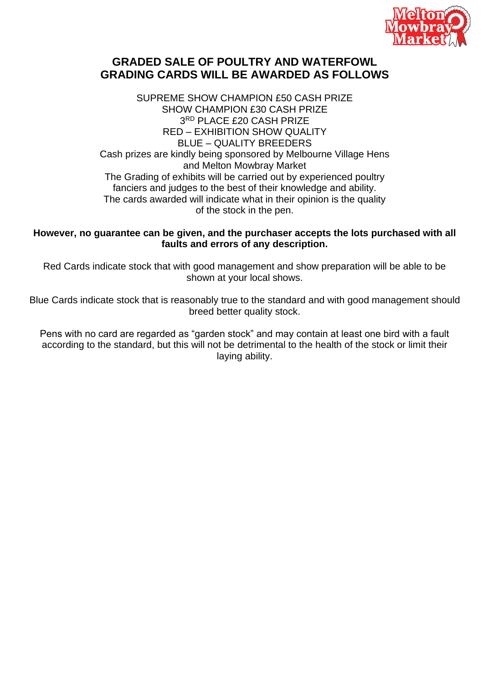

## **GRADED SALE OF POULTRY AND WATERFOWL GRADING CARDS WILL BE AWARDED AS FOLLOWS**

SUPREME SHOW CHAMPION £50 CASH PRIZE SHOW CHAMPION £30 CASH PRIZE 3 RD PLACE £20 CASH PRIZE RED – EXHIBITION SHOW QUALITY BLUE – QUALITY BREEDERS Cash prizes are kindly being sponsored by Melbourne Village Hens and Melton Mowbray Market The Grading of exhibits will be carried out by experienced poultry fanciers and judges to the best of their knowledge and ability. The cards awarded will indicate what in their opinion is the quality of the stock in the pen.

#### **However, no guarantee can be given, and the purchaser accepts the lots purchased with all faults and errors of any description.**

Red Cards indicate stock that with good management and show preparation will be able to be shown at your local shows.

Blue Cards indicate stock that is reasonably true to the standard and with good management should breed better quality stock.

Pens with no card are regarded as "garden stock" and may contain at least one bird with a fault according to the standard, but this will not be detrimental to the health of the stock or limit their laying ability.